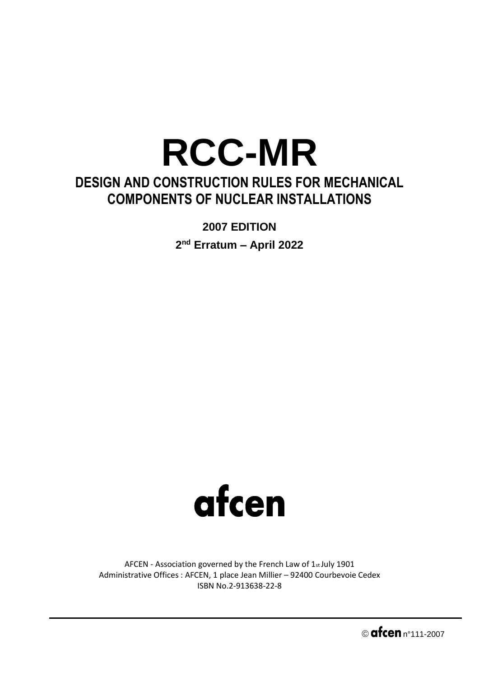## **RCC-MR DESIGN AND CONSTRUCTION RULES FOR MECHANICAL COMPONENTS OF NUCLEAR INSTALLATIONS**

**2007 EDITION**

**2 nd Erratum – April 2022**



AFCEN - Association governed by the French Law of 1st July 1901 Administrative Offices : AFCEN, 1 place Jean Millier – 92400 Courbevoie Cedex ISBN No.2-913638-22-8

 $\circ$  afcen  $n^{\circ}$ 111-2007